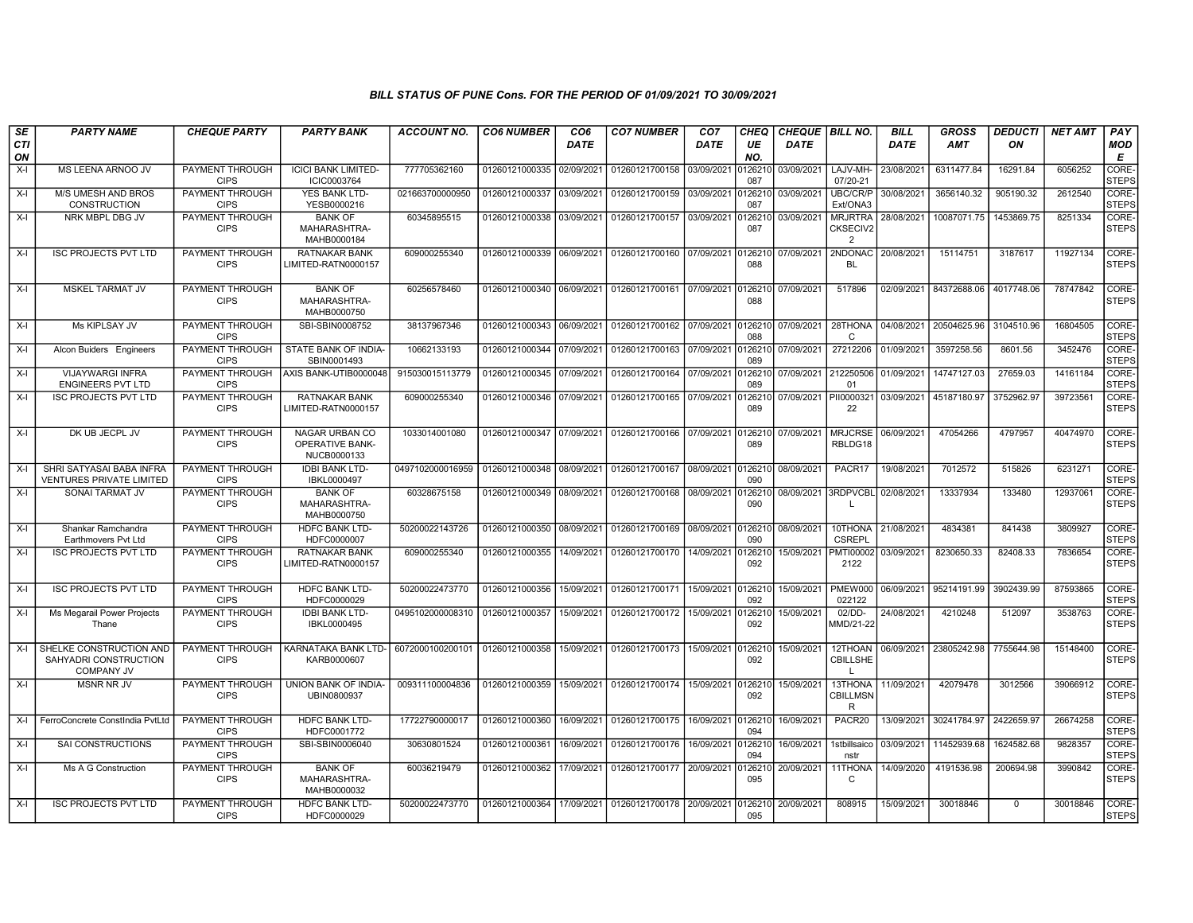## BILL STATUS OF PUNE Cons. FOR THE PERIOD OF 01/09/2021 TO 30/09/2021

| SE        | <b>PARTY NAME</b>                                                     | <b>CHEQUE PARTY</b>                   | <b>PARTY BANK</b>                                              | <b>ACCOUNT NO.</b> | <b>CO6 NUMBER</b>         | CO6         | <b>CO7 NUMBER</b>                                   | CO <sub>7</sub> | <b>CHEQ</b>    | <b>CHEQUE BILL NO.</b> |                                              | BILL        | <b>GROSS</b>           | <b>DEDUCTI</b> | <b>NET AMT</b> | <b>PAY</b>            |
|-----------|-----------------------------------------------------------------------|---------------------------------------|----------------------------------------------------------------|--------------------|---------------------------|-------------|-----------------------------------------------------|-----------------|----------------|------------------------|----------------------------------------------|-------------|------------------------|----------------|----------------|-----------------------|
| CTI<br>ON |                                                                       |                                       |                                                                |                    |                           | <b>DATE</b> |                                                     | DATE            | UE<br>NO.      | DATE                   |                                              | <b>DATE</b> | <b>AMT</b>             | ON             |                | MOD<br>E              |
| $X-I$     | MS LEENA ARNOO JV                                                     | PAYMENT THROUGH<br><b>CIPS</b>        | <b>ICICI BANK LIMITED-</b><br>ICIC0003764                      | 777705362160       | 01260121000335 02/09/2021 |             | 01260121700158                                      | 03/09/2021      | 12621<br>087   | 03/09/2021             | LAJV-MH-<br>07/20-21                         | 23/08/2021  | 6311477.84             | 16291.84       | 6056252        | CORE-<br><b>STEPS</b> |
| $X-I$     | <b>M/S UMESH AND BROS</b><br><b>CONSTRUCTION</b>                      | <b>PAYMENT THROUGH</b><br><b>CIPS</b> | YES BANK LTD-<br>YESB0000216                                   | 021663700000950    | 01260121000337            | 03/09/2021  | 01260121700159                                      | 03/09/2021      | 12621<br>087   | 03/09/2021             | <b>UBC/CR/P</b><br>Ext/ONA3                  | 30/08/2021  | 3656140.32             | 905190.32      | 2612540        | CORE-<br><b>STEPS</b> |
| $X-I$     | NRK MBPL DBG JV                                                       | PAYMENT THROUGH<br><b>CIPS</b>        | <b>BANK OF</b><br>MAHARASHTRA-<br>MAHB0000184                  | 60345895515        | 01260121000338            | 03/09/2021  | 01260121700157                                      | 03/09/2021      | 126210<br>087  | 03/09/2021             | <b>MRJRTRA</b><br>CKSECIV2<br>$\overline{2}$ | 28/08/2021  | 10087071.75            | 1453869.75     | 8251334        | CORE-<br><b>STEPS</b> |
| $X-I$     | <b>ISC PROJECTS PVT LTD</b>                                           | PAYMENT THROUGH<br><b>CIPS</b>        | <b>RATNAKAR BANK</b><br>LIMITED-RATN0000157                    | 609000255340       |                           |             | 01260121000339 06/09/2021 01260121700160 07/09/2021 |                 | 0126210<br>088 | 07/09/2021 2NDONAC     | <b>BL</b>                                    | 20/08/2021  | 15114751               | 3187617        | 11927134       | CORE-<br><b>STEPS</b> |
| X-I       | <b>MSKEL TARMAT JV</b>                                                | PAYMENT THROUGH<br><b>CIPS</b>        | <b>BANK OF</b><br>MAHARASHTRA-<br>MAHB0000750                  | 60256578460        | 01260121000340 06/09/2021 |             | 01260121700161 07/09/2021                           |                 | 126210<br>088  | 07/09/2021             | 517896                                       | 02/09/2021  | 84372688.06 4017748.06 |                | 78747842       | CORE-<br><b>STEPS</b> |
| $X-I$     | Ms KIPLSAY JV                                                         | PAYMENT THROUGH<br><b>CIPS</b>        | SBI-SBIN0008752                                                | 38137967346        | 01260121000343 06/09/2021 |             | 01260121700162 07/09/2021                           |                 | 0126210<br>088 | 07/09/2021             | 28THONA<br>C                                 | 04/08/2021  | 20504625.96            | 3104510.96     | 16804505       | CORE-<br><b>STEPS</b> |
| $X-I$     | Alcon Buiders Engineers                                               | PAYMENT THROUGH<br><b>CIPS</b>        | STATE BANK OF INDIA-<br>SBIN0001493                            | 10662133193        | 01260121000344            | 07/09/2021  | 01260121700163 07/09/2021                           |                 | 126210<br>089  | 07/09/2021             | 27212206                                     | 01/09/2021  | 3597258.56             | 8601.56        | 3452476        | CORE-<br><b>STEPS</b> |
| $X-I$     | <b>VIJAYWARGI INFRA</b><br><b>ENGINEERS PVT LTD</b>                   | PAYMENT THROUGH<br><b>CIPS</b>        | AXIS BANK-UTIB0000048                                          | 915030015113779    | 01260121000345 07/09/2021 |             | 01260121700164 07/09/2021                           |                 | 126210<br>089  | 07/09/2021 212250506   | 01                                           | 01/09/2021  | 14747127.03            | 27659.03       | 14161184       | CORE-<br><b>STEPS</b> |
| $X-I$     | <b>ISC PROJECTS PVT LTD</b>                                           | <b>PAYMENT THROUGH</b><br><b>CIPS</b> | <b>RATNAKAR BANK</b><br>LIMITED-RATN0000157                    | 609000255340       | 01260121000346            | 07/09/2021  | 01260121700165 07/09/2021                           |                 | 0126210<br>089 | 07/09/2021 PII0000321  | 22                                           | 03/09/2021  | 45187180.97            | 3752962.97     | 39723561       | CORE-<br><b>STEPS</b> |
| X-I       | DK UB JECPL JV                                                        | PAYMENT THROUGH<br><b>CIPS</b>        | <b>NAGAR URBAN CO</b><br><b>OPERATIVE BANK-</b><br>NUCB0000133 | 1033014001080      | 01260121000347            | 07/09/2021  | 01260121700166 07/09/2021                           |                 | 0126210<br>089 | 07/09/2021             | <b>MRJCRSE</b><br>RBLDG18                    | 06/09/2021  | 47054266               | 4797957        | 40474970       | CORE-<br><b>STEPS</b> |
| $X-I$     | SHRI SATYASAI BABA INFRA<br><b>VENTURES PRIVATE LIMITED</b>           | PAYMENT THROUGH<br><b>CIPS</b>        | <b>IDBI BANK LTD-</b><br>IBKL0000497                           | 0497102000016959   | 01260121000348            | 08/09/2021  | 01260121700167                                      | 08/09/2021      | 0126210<br>090 | 08/09/2021             | PACR17                                       | 19/08/2021  | 7012572                | 515826         | 6231271        | CORE-<br><b>STEPS</b> |
| $X-I$     | SONAI TARMAT JV                                                       | PAYMENT THROUGH<br><b>CIPS</b>        | <b>BANK OF</b><br>MAHARASHTRA-<br>MAHB0000750                  | 60328675158        | 01260121000349 08/09/2021 |             | 01260121700168                                      | 08/09/2021      | 126210<br>090  | 08/09/2021 3RDPVCBL    | $\mathbf{L}$                                 | 02/08/2021  | 13337934               | 133480         | 12937061       | CORE-<br><b>STEPS</b> |
| $X-I$     | Shankar Ramchandra<br>Earthmovers Pvt Ltd                             | PAYMENT THROUGH<br><b>CIPS</b>        | HDFC BANK LTD-<br>HDFC0000007                                  | 50200022143726     | 01260121000350            | 08/09/2021  | 01260121700169                                      | 08/09/2021      | 126210<br>090  | 08/09/2021             | 10THONA<br><b>CSREPL</b>                     | 21/08/2021  | 4834381                | 841438         | 3809927        | CORE-<br><b>STEPS</b> |
| $X-I$     | <b>ISC PROJECTS PVT LTD</b>                                           | PAYMENT THROUGH<br><b>CIPS</b>        | <b>RATNAKAR BANK</b><br>LIMITED-RATN0000157                    | 609000255340       | 01260121000355            | 14/09/2021  | 01260121700170                                      | 14/09/2021      | 126210<br>092  | 15/09/2021             | <b>PMTI00002</b><br>2122                     | 03/09/2021  | 8230650.33             | 82408.33       | 7836654        | CORE-<br><b>STEPS</b> |
| $X-I$     | <b>ISC PROJECTS PVT LTD</b>                                           | PAYMENT THROUGH<br><b>CIPS</b>        | <b>HDFC BANK LTD-</b><br>HDFC0000029                           | 50200022473770     | 01260121000356 15/09/2021 |             | 01260121700171 15/09/2021                           |                 | 0126210<br>092 | 15/09/2021   PMEW000   | 022122                                       | 06/09/2021  | 95214191.99            | 3902439.99     | 87593865       | CORE-<br><b>STEPS</b> |
| $X-I$     | Ms Megarail Power Projects<br>Thane                                   | PAYMENT THROUGH<br><b>CIPS</b>        | <b>IDBI BANK LTD-</b><br>IBKL0000495                           | 0495102000008310   | 01260121000357            | 15/09/2021  | 01260121700172                                      | 15/09/2021      | 126210<br>092  | 15/09/2021             | 02/DD-<br>MMD/21-22                          | 24/08/2021  | 4210248                | 512097         | 3538763        | CORE-<br><b>STEPS</b> |
| $X-I$     | SHELKE CONSTRUCTION AND<br>SAHYADRI CONSTRUCTION<br><b>COMPANY JV</b> | PAYMENT THROUGH<br><b>CIPS</b>        | KARNATAKA BANK LTD-<br>KARB0000607                             | 6072000100200101   | 01260121000358            | 15/09/2021  | 01260121700173                                      | 15/09/2021      | 0126210<br>092 | 15/09/2021             | 12THOAN<br>CBILLSHE<br>$\mathbf{L}$          | 06/09/2021  | 23805242.98            | 7755644.98     | 15148400       | CORE-<br><b>STEPS</b> |
| $X-I$     | <b>MSNR NR JV</b>                                                     | <b>PAYMENT THROUGH</b><br><b>CIPS</b> | UNION BANK OF INDIA-<br>UBIN0800937                            | 009311100004836    | 01260121000359            | 15/09/2021  | 01260121700174                                      | 15/09/2021      | 0126210<br>092 | 15/09/2021             | 13THONA<br><b>CBILLMSN</b><br>$\mathsf{R}$   | 11/09/2021  | 42079478               | 3012566        | 39066912       | CORE-<br><b>STEPS</b> |
| $X-I$     | FerroConcrete ConstIndia PvtLtd                                       | PAYMENT THROUGH<br><b>CIPS</b>        | <b>HDFC BANK LTD-</b><br>HDFC0001772                           | 17722790000017     | 01260121000360            | 16/09/2021  | 01260121700175                                      | 16/09/2021      | 0126210<br>094 | 16/09/2021             | PACR20                                       | 13/09/2021  | 30241784.97            | 2422659.97     | 26674258       | CORE-<br><b>STEPS</b> |
| $X-I$     | <b>SAI CONSTRUCTIONS</b>                                              | <b>PAYMENT THROUGH</b><br><b>CIPS</b> | SBI-SBIN0006040                                                | 30630801524        | 01260121000361            | 16/09/2021  | 01260121700176                                      | 16/09/2021      | 0126210<br>094 | 16/09/2021             | 1stbillsaico<br>nstr                         | 03/09/2021  | 11452939.68            | 1624582.68     | 9828357        | CORE-<br><b>STEPS</b> |
| $X-I$     | Ms A G Construction                                                   | <b>PAYMENT THROUGH</b><br><b>CIPS</b> | <b>BANK OF</b><br>MAHARASHTRA-<br>MAHB0000032                  | 60036219479        | 01260121000362 17/09/2021 |             | 01260121700177                                      | 20/09/2021      | 0126210<br>095 | 20/09/2021             | 11THONA<br>$\mathsf{C}$                      | 14/09/2020  | 4191536.98             | 200694.98      | 3990842        | CORE-<br><b>STEPS</b> |
| $X-I$     | <b>ISC PROJECTS PVT LTD</b>                                           | PAYMENT THROUGH<br><b>CIPS</b>        | <b>HDFC BANK LTD-</b><br>HDFC0000029                           | 50200022473770     |                           |             | 01260121000364 17/09/2021 01260121700178 20/09/2021 |                 | 095            | 0126210 20/09/2021     | 808915                                       | 15/09/2021  | 30018846               | $\mathbf{0}$   | 30018846       | CORE-<br><b>STEPS</b> |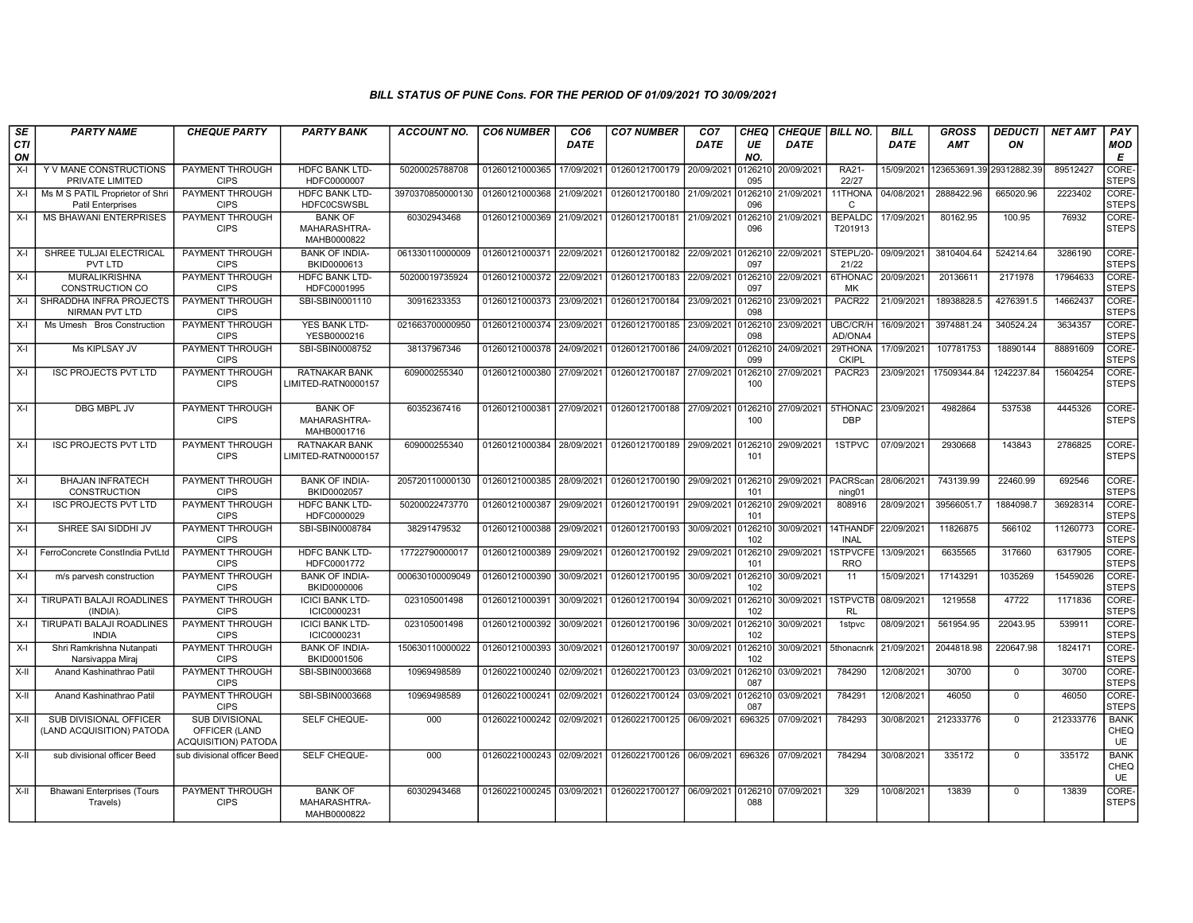## BILL STATUS OF PUNE Cons. FOR THE PERIOD OF 01/09/2021 TO 30/09/2021

| SE        | <b>PARTY NAME</b>                                           | <b>CHEQUE PARTY</b>                                                  | <b>PARTY BANK</b>                             | <b>ACCOUNT NO.</b> | <b>CO6 NUMBER</b>         | CO <sub>6</sub> | <b>CO7 NUMBER</b>                                   | CO <sub>7</sub>    | CHEQ           | CHEQUE   BILL NO.     |                               | <b>BILL</b> | <b>GROSS</b>             | <b>DEDUCTI</b> | <b>NET AMT</b> | <b>PAY</b>                       |
|-----------|-------------------------------------------------------------|----------------------------------------------------------------------|-----------------------------------------------|--------------------|---------------------------|-----------------|-----------------------------------------------------|--------------------|----------------|-----------------------|-------------------------------|-------------|--------------------------|----------------|----------------|----------------------------------|
| CTI<br>ON |                                                             |                                                                      |                                               |                    |                           | <b>DATE</b>     |                                                     | DATE               | UE<br>NO.      | DATE                  |                               | <b>DATE</b> | AMT                      | ON             |                | <b>MOD</b><br>Е                  |
| $X-I$     | Y V MANE CONSTRUCTIONS<br>PRIVATE LIMITED                   | PAYMENT THROUGH<br><b>CIPS</b>                                       | <b>HDFC BANK LTD-</b><br>HDFC0000007          | 50200025788708     | 01260121000365            | 17/09/2021      | 01260121700179                                      | 20/09/2021         | 126210<br>095  | 20/09/2021            | RA21-<br>22/27                | 15/09/2021  | 123653691.39 29312882.39 |                | 89512427       | CORE-<br><b>STEPS</b>            |
| X-I       | Ms M S PATIL Proprietor of Shri<br><b>Patil Enterprises</b> | <b>PAYMENT THROUGH</b><br><b>CIPS</b>                                | <b>HDFC BANK LTD-</b><br><b>HDFC0CSWSBL</b>   | 3970370850000130   | 01260121000368            | 21/09/2021      | 01260121700180                                      | 21/09/2021         | 0126210<br>096 | 21/09/2021            | 11THONA<br>C                  | 04/08/2021  | 2888422.96               | 665020.96      | 2223402        | CORE-<br><b>STEPS</b>            |
| $X-I$     | <b>MS BHAWANI ENTERPRISES</b>                               | PAYMENT THROUGH<br><b>CIPS</b>                                       | <b>BANK OF</b><br>MAHARASHTRA-<br>MAHB0000822 | 60302943468        | 01260121000369 21/09/2021 |                 | 01260121700181                                      | 21/09/2021         | 126210<br>096  | 21/09/2021            | <b>BEPALDC</b><br>T201913     | 17/09/2021  | 80162.95                 | 100.95         | 76932          | CORE-<br><b>STEPS</b>            |
| $X-I$     | SHREE TULJAI ELECTRICAL<br>PVT LTD                          | PAYMENT THROUGH<br><b>CIPS</b>                                       | <b>BANK OF INDIA-</b><br>BKID0000613          | 061330110000009    | 01260121000371 22/09/2021 |                 | 01260121700182 22/09/2021                           |                    | 0126210<br>097 | 22/09/2021            | STEPL/20-<br>21/22            | 09/09/2021  | 3810404.64               | 524214.64      | 3286190        | CORE-<br><b>STEPS</b>            |
| $X-I$     | <b>MURALIKRISHNA</b><br>CONSTRUCTION CO                     | PAYMENT THROUGH<br><b>CIPS</b>                                       | <b>HDFC BANK LTD-</b><br>HDFC0001995          | 50200019735924     | 01260121000372 22/09/2021 |                 | 01260121700183                                      | 22/09/2021         | 126210<br>097  | 22/09/2021            | 6THONAC<br>MK                 | 20/09/2021  | 20136611                 | 2171978        | 17964633       | CORE-<br><b>STEPS</b>            |
| $X-I$     | SHRADDHA INFRA PROJECTS<br><b>NIRMAN PVT LTD</b>            | PAYMENT THROUGH<br><b>CIPS</b>                                       | SBI-SBIN0001110                               | 30916233353        | 01260121000373 23/09/2021 |                 | 01260121700184                                      | 23/09/2021 0126210 | 098            | 23/09/2021            | PACR22                        | 21/09/2021  | 18938828.5               | 4276391.5      | 14662437       | CORE-<br><b>STEPS</b>            |
| $X-I$     | Ms Umesh Bros Construction                                  | PAYMENT THROUGH<br><b>CIPS</b>                                       | <b>YES BANK LTD-</b><br>YESB0000216           | 021663700000950    | 01260121000374 23/09/2021 |                 | 01260121700185                                      | 23/09/2021         | 0126210<br>098 | 23/09/2021            | UBC/CR/H<br>AD/ONA4           | 16/09/2021  | 3974881.24               | 340524.24      | 3634357        | CORE-<br><b>STEPS</b>            |
| X-I       | Ms KIPLSAY JV                                               | <b>PAYMENT THROUGH</b><br><b>CIPS</b>                                | SBI-SBIN0008752                               | 38137967346        | 01260121000378 24/09/2021 |                 | 01260121700186                                      | 24/09/2021         | 126210<br>099  | 24/09/2021            | 29THONA<br><b>CKIPL</b>       | 17/09/2021  | 107781753                | 18890144       | 88891609       | CORE-<br><b>STEPS</b>            |
| $X-I$     | <b>ISC PROJECTS PVT LTD</b>                                 | PAYMENT THROUGH<br><b>CIPS</b>                                       | <b>RATNAKAR BANK</b><br>LIMITED-RATN0000157   | 609000255340       | 01260121000380            | 27/09/2021      | 01260121700187                                      | 27/09/2021         | 126210<br>100  | 27/09/2021            | PACR23                        | 23/09/2021  | 17509344.84              | 1242237.84     | 15604254       | CORE-<br><b>STEPS</b>            |
| X-I       | <b>DBG MBPL JV</b>                                          | PAYMENT THROUGH<br><b>CIPS</b>                                       | <b>BANK OF</b><br>MAHARASHTRA-<br>MAHB0001716 | 60352367416        |                           |                 | 01260121000381 27/09/2021 01260121700188 27/09/2021 |                    | 0126210<br>100 | 27/09/2021 5THONAC    | <b>DBP</b>                    | 23/09/2021  | 4982864                  | 537538         | 4445326        | CORE-<br><b>STEPS</b>            |
| $X-I$     | <b>ISC PROJECTS PVT LTD</b>                                 | PAYMENT THROUGH<br><b>CIPS</b>                                       | <b>RATNAKAR BANK</b><br>LIMITED-RATN0000157   | 609000255340       | 01260121000384            | 28/09/2021      | 01260121700189                                      | 29/09/2021         | 0126210<br>101 | 29/09/2021            | 1STPVC                        | 07/09/2021  | 2930668                  | 143843         | 2786825        | CORE-<br><b>STEPS</b>            |
| $X-I$     | <b>BHAJAN INFRATECH</b><br><b>CONSTRUCTION</b>              | PAYMENT THROUGH<br><b>CIPS</b>                                       | <b>BANK OF INDIA-</b><br>BKID0002057          | 205720110000130    | 01260121000385 28/09/2021 |                 | 01260121700190                                      | 29/09/2021         | 0126210<br>101 | 29/09/2021   PACRScar | ning <sub>01</sub>            | 28/06/2021  | 743139.99                | 22460.99       | 692546         | CORE-<br><b>STEPS</b>            |
| $X-I$     | <b>ISC PROJECTS PVT LTD</b>                                 | PAYMENT THROUGH<br><b>CIPS</b>                                       | <b>HDFC BANK LTD-</b><br>HDFC0000029          | 50200022473770     | 01260121000387            | 29/09/2021      | 01260121700191                                      | 29/09/2021         | 126210<br>101  | 29/09/2021            | 808916                        | 28/09/2021  | 39566051.7               | 1884098.7      | 36928314       | CORE-<br><b>STEPS</b>            |
| $X-I$     | SHREE SAI SIDDHI JV                                         | PAYMENT THROUGH<br><b>CIPS</b>                                       | SBI-SBIN0008784                               | 38291479532        | 01260121000388            | 29/09/2021      | 01260121700193                                      | 30/09/2021         | 12621<br>102   | 30/09/2021            | 14THANDF<br><b>INAL</b>       | 22/09/2021  | 11826875                 | 566102         | 11260773       | CORE-<br><b>STEPS</b>            |
| $X-I$     | FerroConcrete ConstIndia PvtLtd                             | PAYMENT THROUGH<br><b>CIPS</b>                                       | <b>HDFC BANK LTD-</b><br>HDFC0001772          | 17722790000017     | 01260121000389 29/09/2021 |                 | 01260121700192 29/09/2021                           |                    | 126210<br>101  | 29/09/2021            | <b>ISTPVCFE</b><br><b>RRO</b> | 13/09/2021  | 6635565                  | 317660         | 6317905        | CORE-<br><b>STEPS</b>            |
| $X-I$     | m/s parvesh construction                                    | PAYMENT THROUGH<br><b>CIPS</b>                                       | <b>BANK OF INDIA-</b><br>BKID0000006          | 000630100009049    | 01260121000390            | 30/09/2021      | 01260121700195                                      | 30/09/2021         | 126210<br>102  | 30/09/2021            | 11                            | 15/09/2021  | 17143291                 | 1035269        | 15459026       | CORE-<br><b>STEPS</b>            |
| X-I       | TIRUPATI BALAJI ROADLINES<br>(INDIA)                        | PAYMENT THROUGH<br><b>CIPS</b>                                       | <b>ICICI BANK LTD-</b><br>ICIC0000231         | 023105001498       | 01260121000391            | 30/09/2021      | 01260121700194                                      | 30/09/2021         | 126210<br>102  | 30/09/2021            | <b>ISTPVCTB</b><br><b>RL</b>  | 08/09/2021  | 1219558                  | 47722          | 1171836        | CORE-<br><b>STEPS</b>            |
| $X-I$     | <b>TIRUPATI BALAJI ROADLINES</b><br><b>INDIA</b>            | <b>PAYMENT THROUGH</b><br><b>CIPS</b>                                | <b>ICICI BANK LTD-</b><br>ICIC0000231         | 023105001498       | 01260121000392            | 30/09/2021      | 01260121700196                                      | 30/09/2021         | 0126210<br>102 | 30/09/2021            | 1stpvc                        | 08/09/2021  | 561954.95                | 22043.95       | 539911         | CORE-<br><b>STEPS</b>            |
| $X-I$     | Shri Ramkrishna Nutanpati<br>Narsivappa Miraj               | PAYMENT THROUGH<br><b>CIPS</b>                                       | <b>BANK OF INDIA-</b><br>BKID0001506          | 150630110000022    | 01260121000393            | 30/09/2021      | 01260121700197                                      | 30/09/2021         | 0126210<br>102 | 30/09/2021            | 5thonacnrk                    | 21/09/2021  | 2044818.98               | 220647.98      | 1824171        | CORE-<br><b>STEPS</b>            |
| X-II      | Anand Kashinathrao Patil                                    | PAYMENT THROUGH<br><b>CIPS</b>                                       | SBI-SBIN0003668                               | 10969498589        | 01260221000240 02/09/2021 |                 | 01260221700123                                      | 03/09/2021         | 126210<br>087  | 03/09/2021            | 784290                        | 12/08/2021  | 30700                    | $\mathbf 0$    | 30700          | CORE-<br><b>STEPS</b>            |
| X-II      | Anand Kashinathrao Patil                                    | PAYMENT THROUGH<br><b>CIPS</b>                                       | SBI-SBIN0003668                               | 10969498589        | 01260221000241            | 02/09/2021      | 01260221700124                                      | 03/09/2021         | 12621<br>087   | 03/09/2021            | 784291                        | 12/08/2021  | 46050                    | $\Omega$       | 46050          | CORE-<br><b>STEPS</b>            |
| X-II      | SUB DIVISIONAL OFFICER<br>(LAND ACQUISITION) PATODA         | <b>SUB DIVISIONAL</b><br>OFFICER (LAND<br><b>ACQUISITION) PATODA</b> | SELF CHEQUE-                                  | 000                | 01260221000242 02/09/2021 |                 | 01260221700125                                      | 06/09/2021         | 696325         | 07/09/2021            | 784293                        | 30/08/2021  | 212333776                | $\mathbf 0$    | 212333776      | <b>BANK</b><br>CHEQ<br><b>UE</b> |
| X-II      | sub divisional officer Beed                                 | sub divisional officer Beed                                          | SELF CHEQUE-                                  | 000                | 01260221000243 02/09/2021 |                 | 01260221700126 06/09/2021                           |                    | 696326         | 07/09/2021            | 784294                        | 30/08/2021  | 335172                   | $\Omega$       | 335172         | <b>BANK</b><br>CHEQ<br><b>UE</b> |
| X-II      | <b>Bhawani Enterprises (Tours</b><br>Travels)               | PAYMENT THROUGH<br><b>CIPS</b>                                       | <b>BANK OF</b><br>MAHARASHTRA-<br>MAHB0000822 | 60302943468        |                           |                 | 01260221000245 03/09/2021 01260221700127 06/09/2021 |                    | 0126210<br>088 | 07/09/2021            | 329                           | 10/08/2021  | 13839                    | $\Omega$       | 13839          | CORE-<br><b>STEPS</b>            |